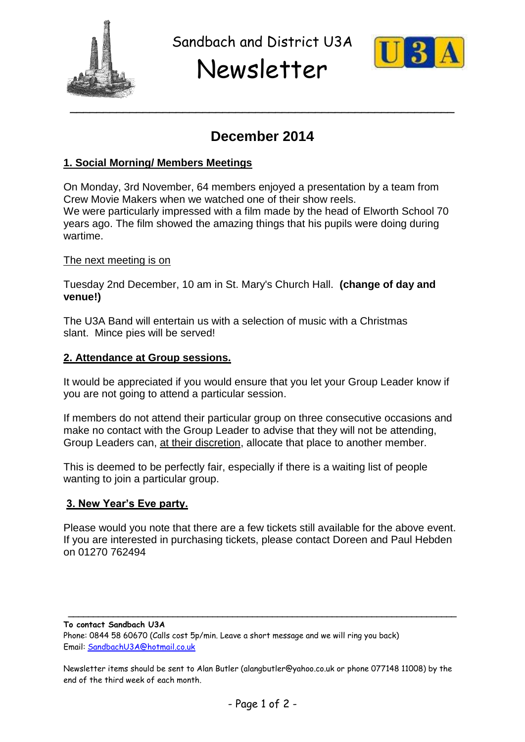

Sandbach and District U3A

# Newsletter



# **December 2014**

### **1. Social Morning/ Members Meetings**

On Monday, 3rd November, 64 members enjoyed a presentation by a team from Crew Movie Makers when we watched one of their show reels. We were particularly impressed with a film made by the head of Elworth School 70 years ago. The film showed the amazing things that his pupils were doing during wartime.

#### The next meeting is on

Tuesday 2nd December, 10 am in St. Mary's Church Hall. **(change of day and venue!)**

The U3A Band will entertain us with a selection of music with a Christmas slant. Mince pies will be served!

#### **2. Attendance at Group sessions.**

It would be appreciated if you would ensure that you let your Group Leader know if you are not going to attend a particular session.

If members do not attend their particular group on three consecutive occasions and make no contact with the Group Leader to advise that they will not be attending, Group Leaders can, at their discretion, allocate that place to another member.

This is deemed to be perfectly fair, especially if there is a waiting list of people wanting to join a particular group.

#### **3. New Year's Eve party.**

Please would you note that there are a few tickets still available for the above event. If you are interested in purchasing tickets, please contact Doreen and Paul Hebden on 01270 762494

**To contact Sandbach U3A** Phone: 0844 58 60670 (Calls cost 5p/min. Leave a short message and we will ring you back) Email: [SandbachU3A@hotmail.co.uk](mailto:SandbachU3A@hotmail.co.uk)

Newsletter items should be sent to Alan Butler (alangbutler@yahoo.co.uk or phone 077148 11008) by the end of the third week of each month.

**\_\_\_\_\_\_\_\_\_\_\_\_\_\_\_\_\_\_\_\_\_\_\_\_\_\_\_\_\_\_\_\_\_\_\_\_\_\_\_\_\_\_\_\_\_\_\_\_\_\_\_\_\_\_\_\_\_\_\_\_\_\_\_\_\_\_\_\_\_\_\_\_\_\_\_\_\_\_**